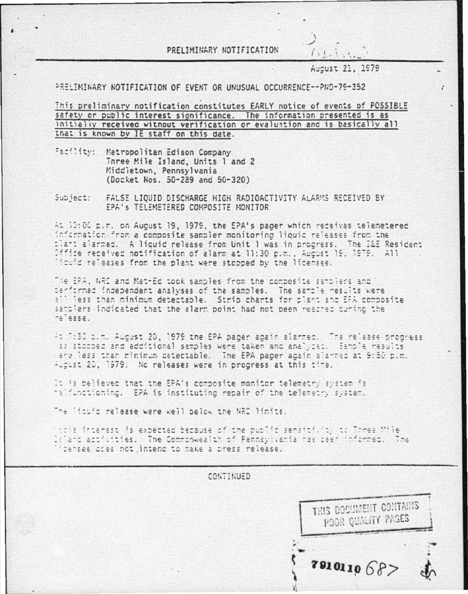PRELIMINARY NOTIFICATION

Aucust 21, 1979

y

 $(11, 1, 1, 1)$ 

PRELIMINARY NOTIFICATION OF FVENT OR UNUSUAL OCCURRENCE--PN9-79-352

This preliminary notification constitutes EARLY notice of events of POSSIBLE safety or public interest significance. The information presented is as initially received without verification or evaluation and is basically all that is known by IE staff on this date.

- Facility: Metropolitan Edison Company Three Mile Island, Units 1 and 2 Middletown, Pennsylvania (Docket Nos. 50-289 and 50-320)
- Subject: FALSE LIQUID DISCHARGE HIGH RADIOACTIVITY ALARMS RECEIVED BY EPA's TELEMETERED COMPOSITE MONITOR

At 10:00 p.m. on August 19, 1979, the EPA's pager which receives telemetered information from a composite sampler monitoring liquid releases from the plant alarmed. A liquid release from Unit 1 was in progress. The I&E Resident Office received notification of alarm at 11:30 p.m., August 19, 1979. All licuid releases from the plant were stopped by the licenses.

The EPA, NRC and Met-Ed took samples from the composite semplers and berformed independent analyses of the samples. The sample results were all less than minimum detectable. Strip charts for plant and EFA composite samplers indicated that the alarm point had not been reacred curino the reiease.

At 7:30 p.m. August 20, 1979 the EPA pager again alarmed. The release progress as storped and additional samples were taken and analyzed. Sample results ere less than minimum detectable. The EPA pader adain alarmed at 9:50 p.m. August 20, 1979. No releases were in progress at this time.

It is believed that the EPA's composite monitor telemetry system is halfunctioning. EPA is instituting repair of the telemetry system.

The liquid release were well below the NRC limits.

hacia interest is expected because of the public sensitivity to Three Mile laland activities. The Commonwealth of Pennsylvania has seen informed. The idensee aces not intend to make a press release.

> CONTINUED THIS DOCUMENT CONTAINS POOR QUALITY PAGES 2810110687